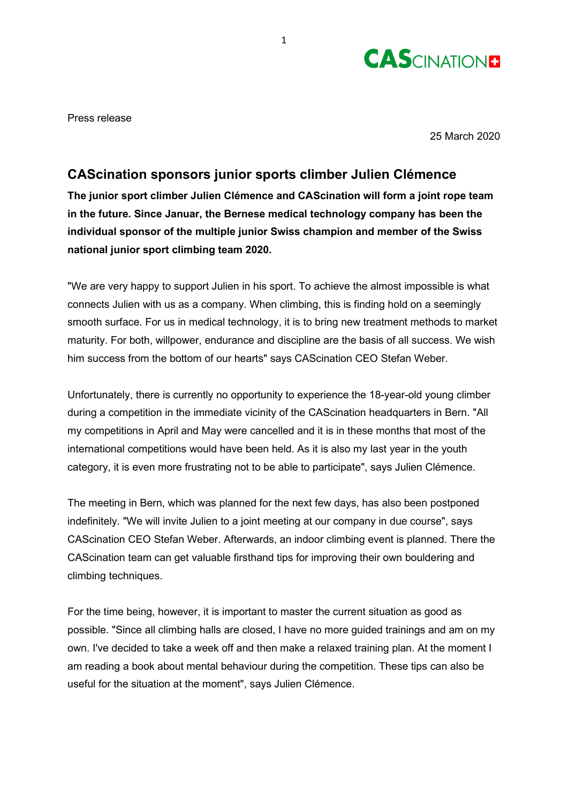

Press release

25 March 2020

# **CAScination sponsors junior sports climber Julien Clémence**

**The junior sport climber Julien Clémence and CAScination will form a joint rope team in the future. Since Januar, the Bernese medical technology company has been the individual sponsor of the multiple junior Swiss champion and member of the Swiss national junior sport climbing team 2020.**

"We are very happy to support Julien in his sport. To achieve the almost impossible is what connects Julien with us as a company. When climbing, this is finding hold on a seemingly smooth surface. For us in medical technology, it is to bring new treatment methods to market maturity. For both, willpower, endurance and discipline are the basis of all success. We wish him success from the bottom of our hearts" says CAScination CEO Stefan Weber.

Unfortunately, there is currently no opportunity to experience the 18-year-old young climber during a competition in the immediate vicinity of the CAScination headquarters in Bern. "All my competitions in April and May were cancelled and it is in these months that most of the international competitions would have been held. As it is also my last year in the youth category, it is even more frustrating not to be able to participate", says Julien Clémence.

The meeting in Bern, which was planned for the next few days, has also been postponed indefinitely. "We will invite Julien to a joint meeting at our company in due course", says CAScination CEO Stefan Weber. Afterwards, an indoor climbing event is planned. There the CAScination team can get valuable firsthand tips for improving their own bouldering and climbing techniques.

For the time being, however, it is important to master the current situation as good as possible. "Since all climbing halls are closed, I have no more guided trainings and am on my own. I've decided to take a week off and then make a relaxed training plan. At the moment I am reading a book about mental behaviour during the competition. These tips can also be useful for the situation at the moment", says Julien Clémence.

1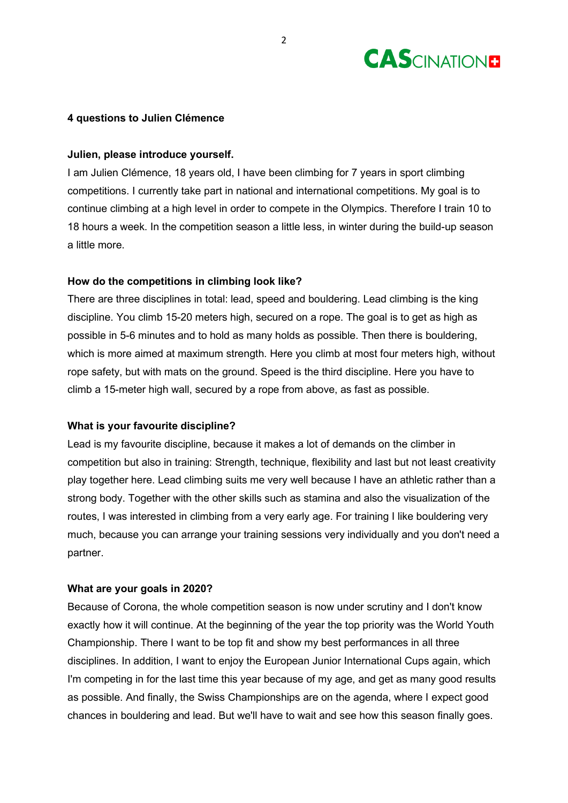

## **4 questions to Julien Clémence**

## **Julien, please introduce yourself.**

I am Julien Clémence, 18 years old, I have been climbing for 7 years in sport climbing competitions. I currently take part in national and international competitions. My goal is to continue climbing at a high level in order to compete in the Olympics. Therefore I train 10 to 18 hours a week. In the competition season a little less, in winter during the build-up season a little more.

# **How do the competitions in climbing look like?**

There are three disciplines in total: lead, speed and bouldering. Lead climbing is the king discipline. You climb 15-20 meters high, secured on a rope. The goal is to get as high as possible in 5-6 minutes and to hold as many holds as possible. Then there is bouldering, which is more aimed at maximum strength. Here you climb at most four meters high, without rope safety, but with mats on the ground. Speed is the third discipline. Here you have to climb a 15-meter high wall, secured by a rope from above, as fast as possible.

### **What is your favourite discipline?**

Lead is my favourite discipline, because it makes a lot of demands on the climber in competition but also in training: Strength, technique, flexibility and last but not least creativity play together here. Lead climbing suits me very well because I have an athletic rather than a strong body. Together with the other skills such as stamina and also the visualization of the routes, I was interested in climbing from a very early age. For training I like bouldering very much, because you can arrange your training sessions very individually and you don't need a partner.

### **What are your goals in 2020?**

Because of Corona, the whole competition season is now under scrutiny and I don't know exactly how it will continue. At the beginning of the year the top priority was the World Youth Championship. There I want to be top fit and show my best performances in all three disciplines. In addition, I want to enjoy the European Junior International Cups again, which I'm competing in for the last time this year because of my age, and get as many good results as possible. And finally, the Swiss Championships are on the agenda, where I expect good chances in bouldering and lead. But we'll have to wait and see how this season finally goes.